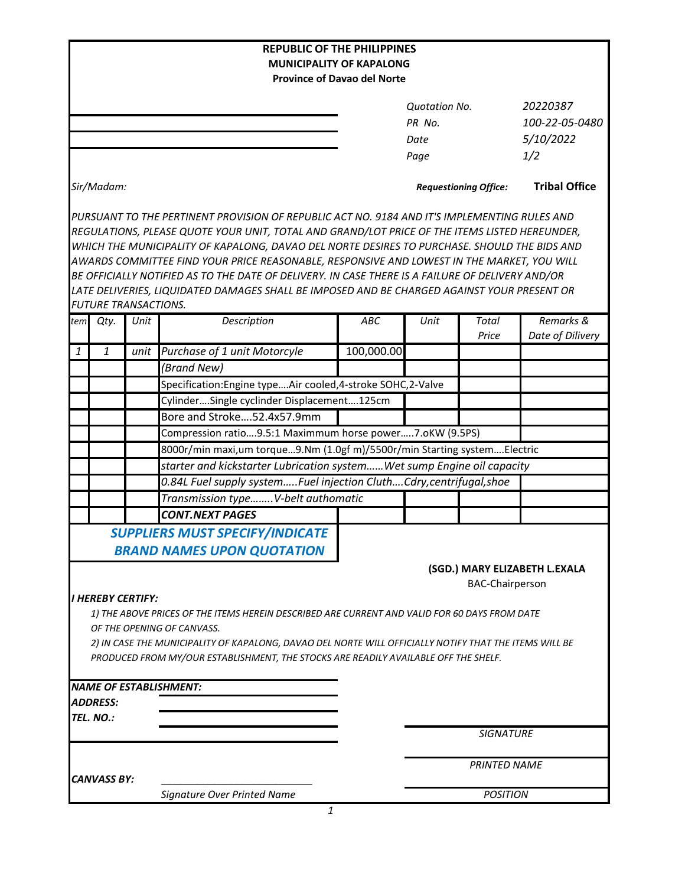|                                                                           |                                                                        |      | <b>REPUBLIC OF THE PHILIPPINES</b>                                                                                                                                                            |            |                      |                              |                               |  |  |  |
|---------------------------------------------------------------------------|------------------------------------------------------------------------|------|-----------------------------------------------------------------------------------------------------------------------------------------------------------------------------------------------|------------|----------------------|------------------------------|-------------------------------|--|--|--|
| <b>MUNICIPALITY OF KAPALONG</b><br><b>Province of Davao del Norte</b>     |                                                                        |      |                                                                                                                                                                                               |            |                      |                              |                               |  |  |  |
|                                                                           |                                                                        |      |                                                                                                                                                                                               |            |                      |                              |                               |  |  |  |
|                                                                           |                                                                        |      |                                                                                                                                                                                               |            | <b>Ouotation No.</b> |                              | 20220387                      |  |  |  |
|                                                                           |                                                                        |      |                                                                                                                                                                                               |            | PR No.               |                              | 100-22-05-0480                |  |  |  |
|                                                                           |                                                                        |      |                                                                                                                                                                                               |            | Date                 |                              | 5/10/2022                     |  |  |  |
|                                                                           |                                                                        |      |                                                                                                                                                                                               |            | Page                 |                              | 1/2                           |  |  |  |
|                                                                           | Sir/Madam:                                                             |      |                                                                                                                                                                                               |            |                      | <b>Requestioning Office:</b> | <b>Tribal Office</b>          |  |  |  |
|                                                                           |                                                                        |      | PURSUANT TO THE PERTINENT PROVISION OF REPUBLIC ACT NO. 9184 AND IT'S IMPLEMENTING RULES AND<br>REGULATIONS, PLEASE QUOTE YOUR UNIT, TOTAL AND GRAND/LOT PRICE OF THE ITEMS LISTED HEREUNDER, |            |                      |                              |                               |  |  |  |
|                                                                           |                                                                        |      | WHICH THE MUNICIPALITY OF KAPALONG, DAVAO DEL NORTE DESIRES TO PURCHASE. SHOULD THE BIDS AND                                                                                                  |            |                      |                              |                               |  |  |  |
|                                                                           |                                                                        |      | AWARDS COMMITTEE FIND YOUR PRICE REASONABLE, RESPONSIVE AND LOWEST IN THE MARKET, YOU WILL                                                                                                    |            |                      |                              |                               |  |  |  |
|                                                                           |                                                                        |      | BE OFFICIALLY NOTIFIED AS TO THE DATE OF DELIVERY. IN CASE THERE IS A FAILURE OF DELIVERY AND/OR                                                                                              |            |                      |                              |                               |  |  |  |
|                                                                           |                                                                        |      | LATE DELIVERIES, LIQUIDATED DAMAGES SHALL BE IMPOSED AND BE CHARGED AGAINST YOUR PRESENT OR                                                                                                   |            |                      |                              |                               |  |  |  |
|                                                                           | <b>FUTURE TRANSACTIONS.</b>                                            |      |                                                                                                                                                                                               |            |                      |                              |                               |  |  |  |
| tem                                                                       | Qty.                                                                   | Unit | Description                                                                                                                                                                                   | <b>ABC</b> | Unit                 | Total<br>Price               | Remarks &<br>Date of Dilivery |  |  |  |
| $\mathbf{1}$                                                              | 1                                                                      | unit | Purchase of 1 unit Motorcyle                                                                                                                                                                  | 100,000.00 |                      |                              |                               |  |  |  |
|                                                                           |                                                                        |      | (Brand New)                                                                                                                                                                                   |            |                      |                              |                               |  |  |  |
|                                                                           |                                                                        |      | Specification: Engine type Air cooled, 4-stroke SOHC, 2-Valve                                                                                                                                 |            |                      |                              |                               |  |  |  |
|                                                                           |                                                                        |      | CylinderSingle cyclinder Displacement125cm                                                                                                                                                    |            |                      |                              |                               |  |  |  |
|                                                                           |                                                                        |      | Bore and Stroke52.4x57.9mm                                                                                                                                                                    |            |                      |                              |                               |  |  |  |
|                                                                           |                                                                        |      | Compression ratio9.5:1 Maximmum horse power7.oKW (9.5PS)                                                                                                                                      |            |                      |                              |                               |  |  |  |
| 8000r/min maxi, um torque9.Nm (1.0gf m)/5500r/min Starting systemElectric |                                                                        |      |                                                                                                                                                                                               |            |                      |                              |                               |  |  |  |
|                                                                           | starter and kickstarter Lubrication systemWet sump Engine oil capacity |      |                                                                                                                                                                                               |            |                      |                              |                               |  |  |  |
| 0.84L Fuel supply systemFuel injection CluthCdry, centrifugal, shoe       |                                                                        |      |                                                                                                                                                                                               |            |                      |                              |                               |  |  |  |
| Transmission typeV-belt authomatic                                        |                                                                        |      |                                                                                                                                                                                               |            |                      |                              |                               |  |  |  |
|                                                                           |                                                                        |      | <b>CONT.NEXT PAGES</b>                                                                                                                                                                        |            |                      |                              |                               |  |  |  |
|                                                                           |                                                                        |      | <b>SUPPLIERS MUST SPECIFY/INDICATE</b>                                                                                                                                                        |            |                      |                              |                               |  |  |  |
|                                                                           |                                                                        |      | <b>BRAND NAMES UPON QUOTATION</b>                                                                                                                                                             |            |                      |                              |                               |  |  |  |
|                                                                           |                                                                        |      |                                                                                                                                                                                               |            |                      |                              | (SGD.) MARY ELIZABETH L.EXALA |  |  |  |
|                                                                           |                                                                        |      |                                                                                                                                                                                               |            |                      | <b>BAC-Chairperson</b>       |                               |  |  |  |
|                                                                           | I HEREBY CERTIFY:                                                      |      |                                                                                                                                                                                               |            |                      |                              |                               |  |  |  |
|                                                                           |                                                                        |      | 1) THE ABOVE PRICES OF THE ITEMS HEREIN DESCRIBED ARE CURRENT AND VALID FOR 60 DAYS FROM DATE                                                                                                 |            |                      |                              |                               |  |  |  |
|                                                                           |                                                                        |      | OF THE OPENING OF CANVASS.                                                                                                                                                                    |            |                      |                              |                               |  |  |  |
|                                                                           |                                                                        |      | 2) IN CASE THE MUNICIPALITY OF KAPALONG, DAVAO DEL NORTE WILL OFFICIALLY NOTIFY THAT THE ITEMS WILL BE                                                                                        |            |                      |                              |                               |  |  |  |
|                                                                           |                                                                        |      | PRODUCED FROM MY/OUR ESTABLISHMENT, THE STOCKS ARE READILY AVAILABLE OFF THE SHELF.                                                                                                           |            |                      |                              |                               |  |  |  |
|                                                                           |                                                                        |      |                                                                                                                                                                                               |            |                      |                              |                               |  |  |  |
|                                                                           | <b>ADDRESS:</b>                                                        |      | <b>NAME OF ESTABLISHMENT:</b>                                                                                                                                                                 |            |                      |                              |                               |  |  |  |
|                                                                           | TEL. NO.:                                                              |      |                                                                                                                                                                                               |            |                      |                              |                               |  |  |  |
|                                                                           |                                                                        |      |                                                                                                                                                                                               |            |                      | <b>SIGNATURE</b>             |                               |  |  |  |
|                                                                           |                                                                        |      |                                                                                                                                                                                               |            |                      |                              |                               |  |  |  |
|                                                                           |                                                                        |      |                                                                                                                                                                                               |            | <b>PRINTED NAME</b>  |                              |                               |  |  |  |
|                                                                           | <b>CANVASS BY:</b>                                                     |      | Signature Over Printed Name                                                                                                                                                                   |            | <b>POSITION</b>      |                              |                               |  |  |  |
|                                                                           |                                                                        |      |                                                                                                                                                                                               |            |                      |                              |                               |  |  |  |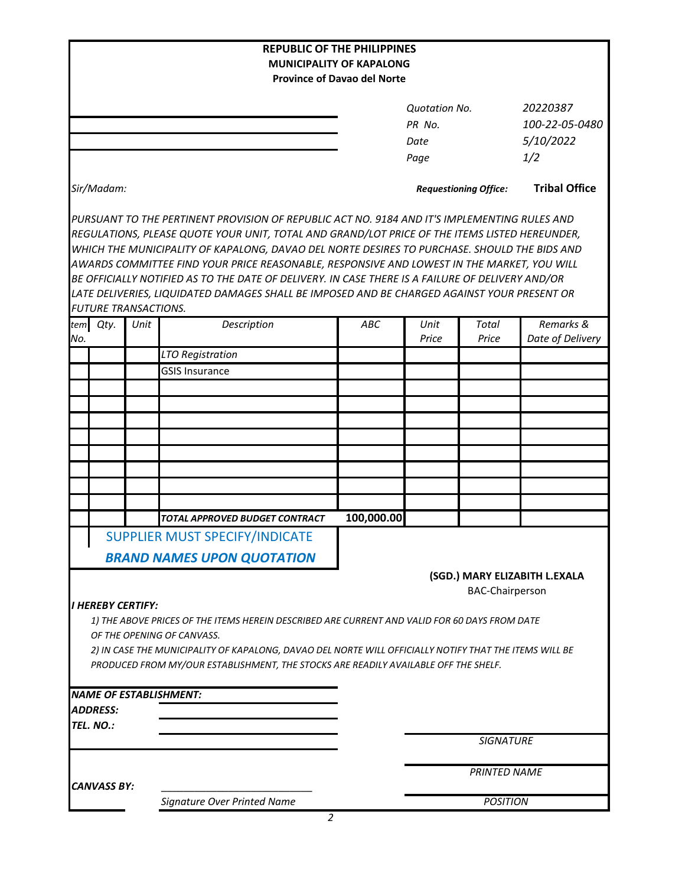| <b>REPUBLIC OF THE PHILIPPINES</b>                                                                                                                                                                                        |                                                                                                                                                                                                                                                                                                                                                                                                                                                                                                                                                                                                |                                                                       |                              |                  |                      |  |  |  |  |
|---------------------------------------------------------------------------------------------------------------------------------------------------------------------------------------------------------------------------|------------------------------------------------------------------------------------------------------------------------------------------------------------------------------------------------------------------------------------------------------------------------------------------------------------------------------------------------------------------------------------------------------------------------------------------------------------------------------------------------------------------------------------------------------------------------------------------------|-----------------------------------------------------------------------|------------------------------|------------------|----------------------|--|--|--|--|
|                                                                                                                                                                                                                           |                                                                                                                                                                                                                                                                                                                                                                                                                                                                                                                                                                                                | <b>MUNICIPALITY OF KAPALONG</b><br><b>Province of Davao del Norte</b> |                              |                  |                      |  |  |  |  |
|                                                                                                                                                                                                                           |                                                                                                                                                                                                                                                                                                                                                                                                                                                                                                                                                                                                |                                                                       |                              |                  |                      |  |  |  |  |
|                                                                                                                                                                                                                           |                                                                                                                                                                                                                                                                                                                                                                                                                                                                                                                                                                                                |                                                                       | <b>Quotation No.</b>         |                  | 20220387             |  |  |  |  |
|                                                                                                                                                                                                                           |                                                                                                                                                                                                                                                                                                                                                                                                                                                                                                                                                                                                |                                                                       | PR No.                       |                  | 100-22-05-0480       |  |  |  |  |
|                                                                                                                                                                                                                           |                                                                                                                                                                                                                                                                                                                                                                                                                                                                                                                                                                                                |                                                                       | Date                         |                  | 5/10/2022            |  |  |  |  |
|                                                                                                                                                                                                                           |                                                                                                                                                                                                                                                                                                                                                                                                                                                                                                                                                                                                |                                                                       | Page                         |                  | 1/2                  |  |  |  |  |
| Sir/Madam:                                                                                                                                                                                                                |                                                                                                                                                                                                                                                                                                                                                                                                                                                                                                                                                                                                |                                                                       | <b>Requestioning Office:</b> |                  | <b>Tribal Office</b> |  |  |  |  |
|                                                                                                                                                                                                                           | PURSUANT TO THE PERTINENT PROVISION OF REPUBLIC ACT NO. 9184 AND IT'S IMPLEMENTING RULES AND<br>REGULATIONS, PLEASE QUOTE YOUR UNIT, TOTAL AND GRAND/LOT PRICE OF THE ITEMS LISTED HEREUNDER,<br>WHICH THE MUNICIPALITY OF KAPALONG, DAVAO DEL NORTE DESIRES TO PURCHASE. SHOULD THE BIDS AND<br>AWARDS COMMITTEE FIND YOUR PRICE REASONABLE, RESPONSIVE AND LOWEST IN THE MARKET, YOU WILL<br>BE OFFICIALLY NOTIFIED AS TO THE DATE OF DELIVERY. IN CASE THERE IS A FAILURE OF DELIVERY AND/OR<br>LATE DELIVERIES, LIQUIDATED DAMAGES SHALL BE IMPOSED AND BE CHARGED AGAINST YOUR PRESENT OR |                                                                       |                              |                  |                      |  |  |  |  |
| <b>FUTURE TRANSACTIONS.</b>                                                                                                                                                                                               | Description<br>Unit                                                                                                                                                                                                                                                                                                                                                                                                                                                                                                                                                                            | ABC                                                                   | Unit                         | Total            | Remarks &            |  |  |  |  |
| tem Qty.<br>No.                                                                                                                                                                                                           |                                                                                                                                                                                                                                                                                                                                                                                                                                                                                                                                                                                                |                                                                       | Price                        | Price            | Date of Delivery     |  |  |  |  |
|                                                                                                                                                                                                                           | <b>LTO Registration</b>                                                                                                                                                                                                                                                                                                                                                                                                                                                                                                                                                                        |                                                                       |                              |                  |                      |  |  |  |  |
|                                                                                                                                                                                                                           | <b>GSIS Insurance</b>                                                                                                                                                                                                                                                                                                                                                                                                                                                                                                                                                                          |                                                                       |                              |                  |                      |  |  |  |  |
|                                                                                                                                                                                                                           |                                                                                                                                                                                                                                                                                                                                                                                                                                                                                                                                                                                                |                                                                       |                              |                  |                      |  |  |  |  |
|                                                                                                                                                                                                                           |                                                                                                                                                                                                                                                                                                                                                                                                                                                                                                                                                                                                |                                                                       |                              |                  |                      |  |  |  |  |
|                                                                                                                                                                                                                           |                                                                                                                                                                                                                                                                                                                                                                                                                                                                                                                                                                                                |                                                                       |                              |                  |                      |  |  |  |  |
|                                                                                                                                                                                                                           |                                                                                                                                                                                                                                                                                                                                                                                                                                                                                                                                                                                                |                                                                       |                              |                  |                      |  |  |  |  |
|                                                                                                                                                                                                                           |                                                                                                                                                                                                                                                                                                                                                                                                                                                                                                                                                                                                |                                                                       |                              |                  |                      |  |  |  |  |
|                                                                                                                                                                                                                           |                                                                                                                                                                                                                                                                                                                                                                                                                                                                                                                                                                                                |                                                                       |                              |                  |                      |  |  |  |  |
|                                                                                                                                                                                                                           |                                                                                                                                                                                                                                                                                                                                                                                                                                                                                                                                                                                                |                                                                       |                              |                  |                      |  |  |  |  |
|                                                                                                                                                                                                                           |                                                                                                                                                                                                                                                                                                                                                                                                                                                                                                                                                                                                |                                                                       |                              |                  |                      |  |  |  |  |
|                                                                                                                                                                                                                           | TOTAL APPROVED BUDGET CONTRACT                                                                                                                                                                                                                                                                                                                                                                                                                                                                                                                                                                 | 100,000.00                                                            |                              |                  |                      |  |  |  |  |
|                                                                                                                                                                                                                           | SUPPLIER MUST SPECIFY/INDICATE                                                                                                                                                                                                                                                                                                                                                                                                                                                                                                                                                                 |                                                                       |                              |                  |                      |  |  |  |  |
|                                                                                                                                                                                                                           |                                                                                                                                                                                                                                                                                                                                                                                                                                                                                                                                                                                                |                                                                       |                              |                  |                      |  |  |  |  |
| <b>BRAND NAMES UPON QUOTATION</b><br>(SGD.) MARY ELIZABITH L.EXALA<br><b>BAC-Chairperson</b><br><b>I HEREBY CERTIFY:</b><br>1) THE ABOVE PRICES OF THE ITEMS HEREIN DESCRIBED ARE CURRENT AND VALID FOR 60 DAYS FROM DATE |                                                                                                                                                                                                                                                                                                                                                                                                                                                                                                                                                                                                |                                                                       |                              |                  |                      |  |  |  |  |
|                                                                                                                                                                                                                           | OF THE OPENING OF CANVASS.                                                                                                                                                                                                                                                                                                                                                                                                                                                                                                                                                                     |                                                                       |                              |                  |                      |  |  |  |  |
|                                                                                                                                                                                                                           | 2) IN CASE THE MUNICIPALITY OF KAPALONG, DAVAO DEL NORTE WILL OFFICIALLY NOTIFY THAT THE ITEMS WILL BE                                                                                                                                                                                                                                                                                                                                                                                                                                                                                         |                                                                       |                              |                  |                      |  |  |  |  |
|                                                                                                                                                                                                                           | PRODUCED FROM MY/OUR ESTABLISHMENT, THE STOCKS ARE READILY AVAILABLE OFF THE SHELF.                                                                                                                                                                                                                                                                                                                                                                                                                                                                                                            |                                                                       |                              |                  |                      |  |  |  |  |
|                                                                                                                                                                                                                           |                                                                                                                                                                                                                                                                                                                                                                                                                                                                                                                                                                                                |                                                                       |                              |                  |                      |  |  |  |  |
| <b>NAME OF ESTABLISHMENT:</b><br><b>ADDRESS:</b>                                                                                                                                                                          |                                                                                                                                                                                                                                                                                                                                                                                                                                                                                                                                                                                                |                                                                       |                              |                  |                      |  |  |  |  |
|                                                                                                                                                                                                                           |                                                                                                                                                                                                                                                                                                                                                                                                                                                                                                                                                                                                |                                                                       |                              |                  |                      |  |  |  |  |
| TEL. NO.:                                                                                                                                                                                                                 |                                                                                                                                                                                                                                                                                                                                                                                                                                                                                                                                                                                                |                                                                       |                              | <b>SIGNATURE</b> |                      |  |  |  |  |
|                                                                                                                                                                                                                           |                                                                                                                                                                                                                                                                                                                                                                                                                                                                                                                                                                                                |                                                                       |                              |                  |                      |  |  |  |  |
| <b>CANVASS BY:</b>                                                                                                                                                                                                        |                                                                                                                                                                                                                                                                                                                                                                                                                                                                                                                                                                                                |                                                                       | <b>PRINTED NAME</b>          |                  |                      |  |  |  |  |
|                                                                                                                                                                                                                           | Signature Over Printed Name                                                                                                                                                                                                                                                                                                                                                                                                                                                                                                                                                                    |                                                                       | <b>POSITION</b>              |                  |                      |  |  |  |  |